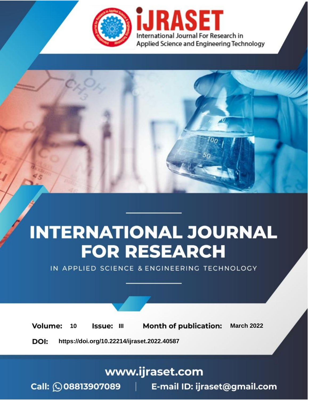

# **INTERNATIONAL JOURNAL FOR RESEARCH**

IN APPLIED SCIENCE & ENGINEERING TECHNOLOGY

10 **Issue: III Month of publication:** March 2022 **Volume:** 

**https://doi.org/10.22214/ijraset.2022.40587**DOI:

www.ijraset.com

Call: 008813907089 | E-mail ID: ijraset@gmail.com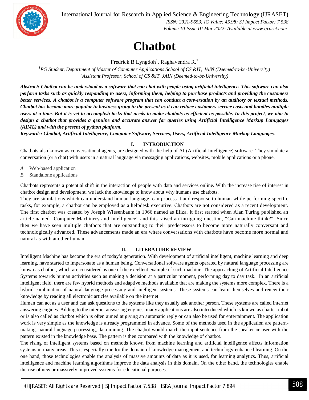International Journal for Research in Applied Science & Engineering Technology (IJRASET**)**



 *ISSN: 2321-9653; IC Value: 45.98; SJ Impact Factor: 7.538 Volume 10 Issue III Mar 2022- Available at www.ijraset.com*

### **Chatbot**

Fredrick B Lyngdoh<sup>1</sup>, Raghavendra R.<sup>2</sup>

*<sup>1</sup>PG Student, Department of Master of Computer Applications School of CS &IT, JAIN (Deemed-to-be-University) <sup>2</sup>Assistant Professor, School of CS &IT, JAIN (Deemed-to-be-University)*

*Abstract: Chatbot can be understood as a software that can chat with people using artificial intelligence. This software can also perform tasks such as quickly responding to users, informing them, helping to purchase products and providing the customers better services. A chatbot is a computer software program that can conduct a conversation by an auditory or textual methods. Chatbot has become more popular in business group in the present as it can reduce customers service costs and handles multiple users at a time. But it is yet to accomplish tasks that needs to make chatbots as efficient as possible. In this project, we aim to design a chatbot that provides a genuine and accurate answer for queries using Artificial Intelligence Markup Lanugages (AIML) and with the present of python platform.* 

*Keywords: Chatbot, Artificial Intelligence, Computer Software, Services, Users, Artificial Intelligence Markup Languages.* 

#### **I. INTRODUCTION**

Chatbots also known as conversational agents, are designed with the help of AI (Artificial Intelligence) software. They simulate a conversation (or a chat) with users in a natural language via messaging applications, websites, mobile applications or a phone.

- *A.* Web-based application
- *B.* Standalone applications

Chatbots represents a potential shift in the interaction of people with data and services online. With the increase rise of interest in chatbot design and development, we lack the knowledge to know about why humans use chatbots.

They are simulations which can understand human language, can process it and response to human while performing specific tasks, for example, a chatbot can be employed as a helpdesk executive. Chatbots are not considered as a recent development. The first chatbot was created by Joseph Wiesenbaum in 1966 named as Eliza. It first started when Alan Turing published an article named "Computer Machinery and Intelligence" and this raised an intriguing question, "Can machine think?". Since then we have seen multiple chatbots that are outstanding to their predecessors to become more naturally conversant and technologically advanced. These advancements made an era where conversations with chatbots have become more normal and natural as with another human.

#### **II. LITERATURE REVIEW**

Intelligent Machine has become the era of today's generation. With development of artificial intelligent, machine learning and deep learning, have started to impersonate as a human being. Conversational software agents operated by natural language processing are known as chatbot, which are considered as one of the excellent example of such machine. The approaching of Artificial Intelligence Systems towards human activities such as making a decision at a particular moment, performing day to day task. In an artificial intelligent field, there are few hybrid methods and adaptive methods available that are making the systems more complex. There is a hybrid combination of natural language processing and intelligent systems. These systems can learn themselves and renew their knowledge by reading all electronic articles available on the internet.

Human can act as a user and can ask questions to the systems like they usually ask another person. These systems are called internet answering engines. Adding to the internet answering engines, many applications are also introduced which is known as chatter-robot or is also called as chatbot which is often aimed at giving an automatic reply or can also be used for entertainment. The application work is very simple as the knowledge is already programmed in advance. Some of the methods used in the application are patternmaking, natural language processing, data mining. The chaṭbot would match the input sentence from the speaker or user with the pattern existed in the knowledge base. The pattern is then compared with the knowledge of chatbot.

The rising of intelligent systems based on methods known from machine learning and artificial intelligence affects information systems in many areas. This is especially true for the domain of knowledge management and technology-enhanced learning. On the one hand, those technologies enable the analysis of massive amounts of data as it is used, for learning analytics. Thus, artificial intelligence and machine learning algorithms improve the data analysis in this domain. On the other hand, the technologies enable the rise of new or massively improved systems for educational purposes.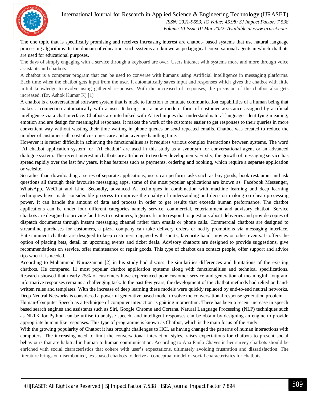

The one topic that is specifically promising and receives increasing interest are chatbot- based systems that use natural language processing algorithms. In the domain of education, such systems are known as pedagogical conversational agents in which chatbots are used for educational purposes.

The days of simply engaging with a service through a keyboard are over. Users interact with systems more and more through voice assistants and chatbots.

A chatbot is a computer program that can be used to converse with humans using Artificial Intelligence in messaging platforms. Each time when the chatbot gets input from the user, it automatically saves input and responses which gives the chatbot with little initial knowledge to evolve using gathered responses. With the increased of responses, the precision of the chatbot also gets increased. (Dr. Ashok Kumar K) [1]

A chatbot is a conversational software system that is made to function to emulate communication capabilities of a human being that makes a connection automatically with a user. It brings out a new modern form of customer assistance assigned by artificial intelligence via a chat interface. Chatbots are interlinked with AI techniques that understand natural language, identifying meaning, emotion and are design for meaningful responses. It makes the work of the customer easier to get responses to their queries in more convenient way without wasting their time waiting in phone queues or send repeated emails. Chatbot was created to reduce the number of customer call, cost of customer care and an average handling time.

However it is rather difficult in achieving the functionalities as it requires various complex interactions between systems. The word 'AI chatbot application system' or 'AI chatbot' are used in this study as a synonym for conversational agent or an advanced dialogue system. The recent interest in chatbots are attributed to two key developments. Firstly, the growth of messaging service has spread rapidly over the last few years. It has features such as payments, ordering and booking, which require a separate application or website.

So rather than downloading a series of separate applications, users can perform tasks such as buy goods, book restaurant and ask questions all through their favourite messaging apps, some of the most popular applications are known as Facebook Messenger, WhatsApp, WeChat and Line. Secondly, advanced AI techniques in combination with machine learning and deep learning techniques have made considerable progress to improve the quality of understanding and decision making on cheap processing power. It can handle the amount of data and process in order to get results that exceeds human performance. The chatbot applications can be under four different categories namely service, commercial, entertainment and advisory chatbot. Service chatbots are designed to provide facilities to customers, logistics firm to respond to questions about deliveries and provide copies of dispatch documents through instant messaging channel rather than emails or phone calls. Commercial chatbots are designed to streamline purchases for customers, a pizza company can take delivery orders or notify promotions via messaging interface. Entertainment chatbots are designed to keep customers engaged with sports, favourite band, movies or other events. It offers the option of placing bets, detail on upcoming events and ticket deals. Advisory chatbots are designed to provide suggestions, give recommendations on service, offer maintenance or repair goods. This type of chatbot can contact people, offer support and advice tips when it is needed.

According to Mohammad Nuruzzaman [2] in his study had discuss the similarities differences and limitations of the existing chatbots. He compared 11 most popular chatbot application systems along with functionalities and technical specifications. Research showed that nearly 75% of customers have experienced poor customer service and generation of meaningful, long and informative responses remains a challenging task. In the past few years, the development of the chatbot methods had relied on handwritten rules and templates. With the increase of deep learning these models were quickly replaced by end-to-end neutral networks. Deep Neutral Networks is considered a powerful generative based model to solve the conversational response generation problem.

Human-Computer Speech as a technique of computer interaction is gaining momentum. There has been a recent increase in speech based search engines and assistants such as Siri, Google Chrome and Cortana. Natural Language Processing (NLP) techniques such as NLTK for Python can be utilise to analyse speech, and intelligent responses can be obtain by designing an engine to provide appropriate human like responses. This type of programme is known as Chatbot, which is the main focus of the study

With the growing popularity of Chatbot it has brought challenges to HCI, as having changed the patterns of human interactions with computers. The increasing need to limit the conversational interaction styles, raises expectations for chatbots to present social behaviours that are habitual in human to human communication. According to Ana Paula Chaves in her survey chatbots should be enriched with social characteristics that cohere with user's expectations, ultimately avoiding frustration and dissatisfaction. The literature brings on disembodied, text-based chatbots to derive a conceptual model of social characteristics for chatbots.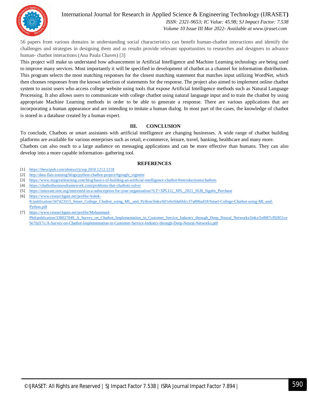

#### International Journal for Research in Applied Science & Engineering Technology (IJRASET**)**  *ISSN: 2321-9653; IC Value: 45.98; SJ Impact Factor: 7.538*

 *Volume 10 Issue III Mar 2022- Available at www.ijraset.com*

56 papers from various domains in understanding social characteristics can benefit human-chatbot interactions and identify the challenges and strategies in designing them and as results provide relevant opportunities to researches and designers to advance human- chatbot interactions (Ana Paula Chaves) [3]

This project will make us understand how advancement in Artificial Intelligence and Machine Learning technology are being used to improve many services. Most importantly it will be specified in development of chatbot as a channel for information distribution. This program selects the most matching responses for the closest matching statement that matches input utilizing WordNet, which then chooses responses from the known selection of statements for the response. The project also aimed to implement online chatbot system to assist users who access college website using tools that expose Artificial Intelligence methods such as Natural Language Processing. It also allows users to communicate with college chatbot using natural language input and to train the chatbot by using appropriate Machine Learning methods in order to be able to generate a response. There are various applications that are incorporating a human appearance and are intending to imitate a human dialog. In most part of the cases, the knowledge of chatbot is stored in a database created by a human expert.

#### **III. CONCLUSION**

To conclude, Chatbots or smart assistants with artificial intelligence are changing businesses. A wide range of chatbot building platforms are available for various enterprises such as retail, e-commerce, leisure, travel, banking, healthcare and many more. Chatbots can also reach to a large audience on messaging applications and can be more effective than humans. They can also develop into a more capable information- gathering tool.

#### **REFERENCES**

- [1] https://thescipub.com/abstract/jcssp.2010.1212.1218
- [2] http://data-flair.training/blogs/python-chatbot-project/#google\_vignette
- [3] https://www.mygreatlearning.com/blog/basics-of-building-an-artificial-intelligence-chatbot/#introductiontochatbots
- [4] https://chatbotbusinessframework.com/problems-that-chatbots-solve/
- [5] https://innovate.ieee.org/interested-in-a-subscription-for-your-organization/?LT=XPLLG\_XPL\_2021\_SUB\_SignIn\_Purchase
- [6] https://www.researchgate.net/profile/Ashok-K/publication/347423315\_Smart\_College\_Chatbot\_using\_ML\_and\_Python/links/601e6c0da6fdcc37a806ad18/Smart-College-Chatbot-using-ML-and-Python.pdf
- [7] https://www.researchgate.net/profile/Mohammad-Phd/publication/330027049\_A\_Survey\_on\_Chatbot\_Implementation\_in\_Customer\_Service\_Industry\_through\_Deep\_Neural\_Networks/links/5ef087cf92851ce 9e7faf17c/A-Survey-on-Chatbot-Implementation-in-Customer-Service-Industry-through-Deep-Neural-Networks.pdf